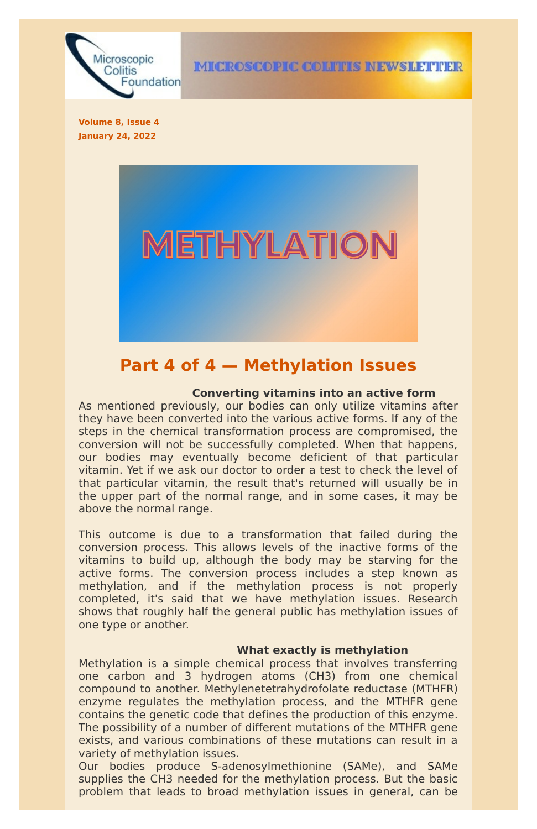

**Volume 8, Issue 4 January 24, 2022**



## **Part 4 of 4 — Methylation Issues**

### **Converting vitamins into an active form**

As mentioned previously, our bodies can only utilize vitamins after they have been converted into the various active forms. If any of the steps in the chemical transformation process are compromised, the conversion will not be successfully completed. When that happens, our bodies may eventually become deficient of that particular vitamin. Yet if we ask our doctor to order a test to check the level of that particular vitamin, the result that's returned will usually be in the upper part of the normal range, and in some cases, it may be above the normal range.

This outcome is due to a transformation that failed during the conversion process. This allows levels of the inactive forms of the vitamins to build up, although the body may be starving for the active forms. The conversion process includes a step known as methylation, and if the methylation process is not properly completed, it's said that we have methylation issues. Research shows that roughly half the general public has methylation issues of one type or another.

## **What exactly is methylation**

Methylation is a simple chemical process that involves transferring one carbon and 3 hydrogen atoms (CH3) from one chemical compound to another. Methylenetetrahydrofolate reductase (MTHFR) enzyme regulates the methylation process, and the MTHFR gene contains the genetic code that defines the production of this enzyme. The possibility of a number of different mutations of the MTHFR gene exists, and various combinations of these mutations can result in a variety of methylation issues.

Our bodies produce S-adenosylmethionine (SAMe), and SAMe supplies the CH3 needed for the methylation process. But the basic problem that leads to broad methylation issues in general, can be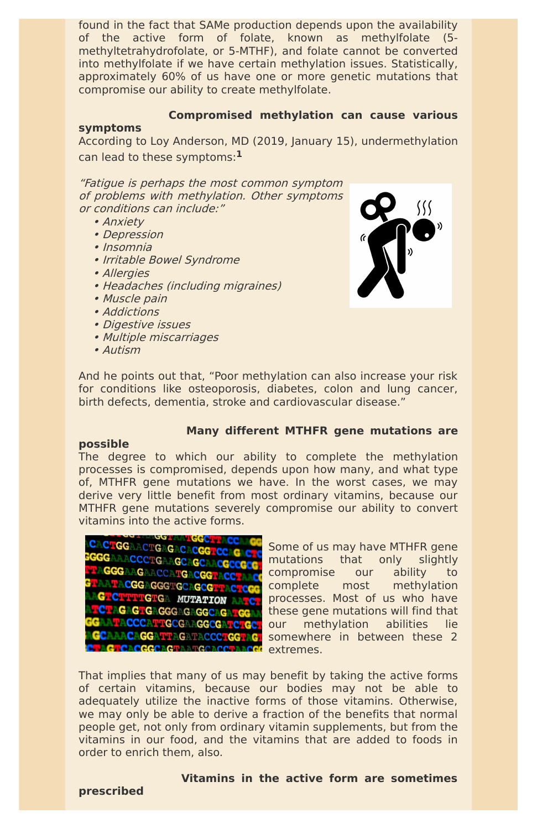found in the fact that SAMe production depends upon the availability of the active form of folate, known as methylfolate (5 methyltetrahydrofolate, or 5-MTHF), and folate cannot be converted into methylfolate if we have certain methylation issues. Statistically, approximately 60% of us have one or more genetic mutations that compromise our ability to create methylfolate.

## **Compromised methylation can cause various**

## **symptoms**

According to Loy Anderson, MD (2019, January 15), undermethylation can lead to these symptoms: **1**

"Fatigue is perhaps the most common symptom of problems with methylation. Other symptoms or conditions can include:"

- Anxiety
- Depression
- Insomnia
- Irritable Bowel Syndrome
- Allergies
- Headaches (including migraines)
- Muscle pain
- Addictions
- Digestive issues
- Multiple miscarriages
- Autism



And he points out that, "Poor methylation can also increase your risk for conditions like osteoporosis, diabetes, colon and lung cancer, birth defects, dementia, stroke and cardiovascular disease."

## **Many different MTHFR gene mutations are**

## **possible**

The degree to which our ability to complete the methylation processes is compromised, depends upon how many, and what type of, MTHFR gene mutations we have. In the worst cases, we may derive very little benefit from most ordinary vitamins, because our MTHFR gene mutations severely compromise our ability to convert vitamins into the active forms.



Some of us may have MTHFR gene mutations that only slightly compromise our ability to complete most methylation processes. Most of us who have these gene mutations will find that **COURT COURT COURT CALCED** our methylation abilities lie somewhere in between these 2

GAGTGAGGGAGAGGCAGATG **GCAAACAGGATTAGATACCCTGGTAGT UNGLOBOGGCAGTAATGCACCTAACGC** extremes.

That implies that many of us may benefit by taking the active forms of certain vitamins, because our bodies may not be able to adequately utilize the inactive forms of those vitamins. Otherwise, we may only be able to derive a fraction of the benefits that normal people get, not only from ordinary vitamin supplements, but from the vitamins in our food, and the vitamins that are added to foods in order to enrich them, also.

# **Vitamins in the active form are sometimes**

**prescribed**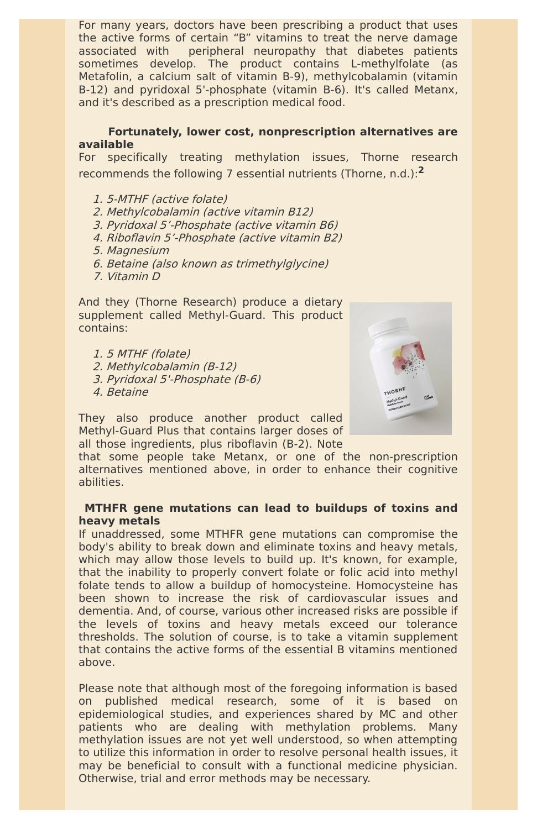For many years, doctors have been prescribing a product that uses the active forms of certain "B" vitamins to treat the nerve damage associated with peripheral neuropathy that diabetes patients sometimes develop. The product contains L-methylfolate (as Metafolin, a calcium salt of vitamin B-9), methylcobalamin (vitamin B-12) and pyridoxal 5'-phosphate (vitamin B-6). It's called Metanx, and it's described as a prescription medical food.

### **Fortunately, lower cost, nonprescription alternatives are available**

For specifically treating methylation issues, Thorne research recommends the following 7 essential nutrients (Thorne, n.d.): **2**

- 1. 5-MTHF (active folate)
- 2. Methylcobalamin (active vitamin B12)
- 3. Pyridoxal 5'-Phosphate (active vitamin B6)
- 4. Riboflavin 5'-Phosphate (active vitamin B2)
- 5. Magnesium
- 6. Betaine (also known as trimethylglycine)
- 7. Vitamin D

And they (Thorne Research) produce a dietary supplement called Methyl-Guard. This product contains:

- 1. 5 MTHF (folate)
- 2. Methylcobalamin (B-12)
- 3. Pyridoxal 5'-Phosphate (B-6)
- 4. Betaine



They also produce another product called Methyl-Guard Plus that contains larger doses of all those ingredients, plus riboflavin (B-2). Note

that some people take Metanx, or one of the non-prescription alternatives mentioned above, in order to enhance their cognitive abilities.

## **MTHFR gene mutations can lead to buildups of toxins and heavy metals**

If unaddressed, some MTHFR gene mutations can compromise the body's ability to break down and eliminate toxins and heavy metals, which may allow those levels to build up. It's known, for example, that the inability to properly convert folate or folic acid into methyl folate tends to allow a buildup of homocysteine. Homocysteine has been shown to increase the risk of cardiovascular issues and dementia. And, of course, various other increased risks are possible if the levels of toxins and heavy metals exceed our tolerance thresholds. The solution of course, is to take a vitamin supplement that contains the active forms of the essential B vitamins mentioned above.

Please note that although most of the foregoing information is based on published medical research, some of it is based on epidemiological studies, and experiences shared by MC and other patients who are dealing with methylation problems. Many methylation issues are not yet well understood, so when attempting to utilize this information in order to resolve personal health issues, it may be beneficial to consult with a functional medicine physician. Otherwise, trial and error methods may be necessary.